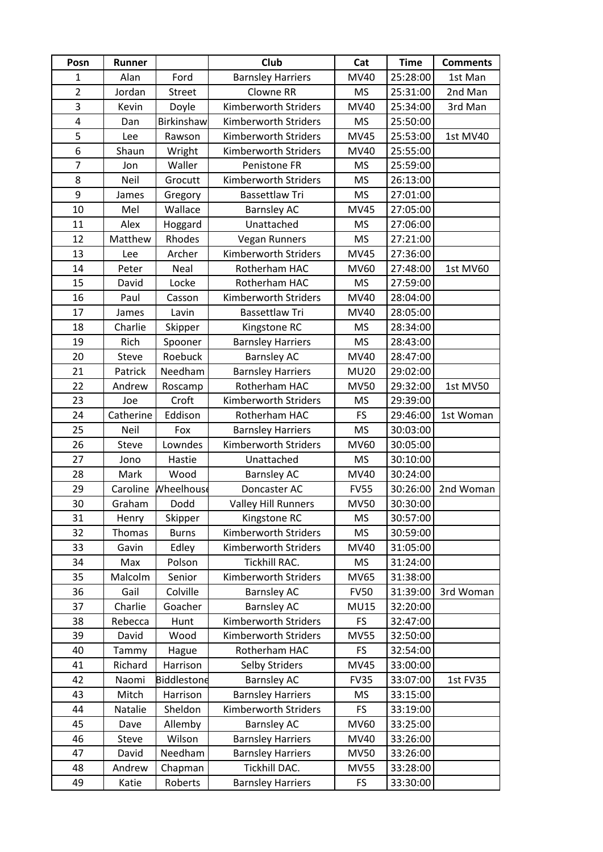| Posn           | Runner    |                    | Club                       | Cat         | <b>Time</b> | <b>Comments</b> |
|----------------|-----------|--------------------|----------------------------|-------------|-------------|-----------------|
| 1              | Alan      | Ford               | <b>Barnsley Harriers</b>   | MV40        | 25:28:00    | 1st Man         |
| $\overline{2}$ | Jordan    | <b>Street</b>      | Clowne RR                  | MS          | 25:31:00    | 2nd Man         |
| 3              | Kevin     | Doyle              | Kimberworth Striders       | MV40        | 25:34:00    | 3rd Man         |
| 4              | Dan       | Birkinshaw         | Kimberworth Striders       | <b>MS</b>   | 25:50:00    |                 |
| 5              | Lee       | Rawson             | Kimberworth Striders       | <b>MV45</b> | 25:53:00    | 1st MV40        |
| 6              | Shaun     | Wright             | Kimberworth Striders       | MV40        | 25:55:00    |                 |
| $\overline{7}$ | Jon       | Waller             | Penistone FR               | <b>MS</b>   | 25:59:00    |                 |
| 8              | Neil      | Grocutt            | Kimberworth Striders       | <b>MS</b>   | 26:13:00    |                 |
| 9              | James     | Gregory            | <b>Bassettlaw Tri</b>      | <b>MS</b>   | 27:01:00    |                 |
| 10             | Mel       | Wallace            | <b>Barnsley AC</b>         | <b>MV45</b> | 27:05:00    |                 |
| 11             | Alex      | Hoggard            | Unattached                 | <b>MS</b>   | 27:06:00    |                 |
| 12             | Matthew   | Rhodes             | Vegan Runners              | <b>MS</b>   | 27:21:00    |                 |
| 13             | Lee       | Archer             | Kimberworth Striders       | <b>MV45</b> | 27:36:00    |                 |
| 14             | Peter     | Neal               | Rotherham HAC              | <b>MV60</b> | 27:48:00    | 1st MV60        |
| 15             | David     | Locke              | Rotherham HAC              | MS          | 27:59:00    |                 |
| 16             | Paul      | Casson             | Kimberworth Striders       | MV40        | 28:04:00    |                 |
| 17             | James     | Lavin              | Bassettlaw Tri             | MV40        | 28:05:00    |                 |
| 18             | Charlie   | Skipper            | Kingstone RC               | MS          | 28:34:00    |                 |
| 19             | Rich      | Spooner            | <b>Barnsley Harriers</b>   | <b>MS</b>   | 28:43:00    |                 |
| 20             | Steve     | Roebuck            | <b>Barnsley AC</b>         | MV40        | 28:47:00    |                 |
| 21             | Patrick   | Needham            | <b>Barnsley Harriers</b>   | <b>MU20</b> | 29:02:00    |                 |
| 22             | Andrew    | Roscamp            | Rotherham HAC              | <b>MV50</b> | 29:32:00    | 1st MV50        |
| 23             | Joe       | Croft              | Kimberworth Striders       | MS          | 29:39:00    |                 |
| 24             | Catherine | Eddison            | Rotherham HAC              | FS          | 29:46:00    | 1st Woman       |
| 25             | Neil      | Fox                | <b>Barnsley Harriers</b>   | <b>MS</b>   | 30:03:00    |                 |
| 26             | Steve     | Lowndes            | Kimberworth Striders       | <b>MV60</b> | 30:05:00    |                 |
| 27             | Jono      | Hastie             | Unattached                 | MS          | 30:10:00    |                 |
| 28             | Mark      | Wood               | <b>Barnsley AC</b>         | MV40        | 30:24:00    |                 |
| 29             | Caroline  | Wheelhouse         | Doncaster AC               | <b>FV55</b> | 30:26:00    | 2nd Woman       |
| 30             | Graham    | Dodd               | <b>Valley Hill Runners</b> | <b>MV50</b> | 30:30:00    |                 |
| 31             | Henry     | Skipper            | Kingstone RC               | MS          | 30:57:00    |                 |
| 32             | Thomas    | <b>Burns</b>       | Kimberworth Striders       | <b>MS</b>   | 30:59:00    |                 |
| 33             | Gavin     | Edley              | Kimberworth Striders       | MV40        | 31:05:00    |                 |
| 34             | Max       | Polson             | Tickhill RAC.              | MS          | 31:24:00    |                 |
| 35             | Malcolm   | Senior             | Kimberworth Striders       | MV65        | 31:38:00    |                 |
| 36             | Gail      | Colville           | <b>Barnsley AC</b>         | <b>FV50</b> | 31:39:00    | 3rd Woman       |
| 37             | Charlie   | Goacher            | <b>Barnsley AC</b>         | <b>MU15</b> | 32:20:00    |                 |
| 38             | Rebecca   | Hunt               | Kimberworth Striders       | FS          | 32:47:00    |                 |
| 39             | David     | Wood               | Kimberworth Striders       | <b>MV55</b> | 32:50:00    |                 |
| 40             | Tammy     | Hague              | Rotherham HAC              | <b>FS</b>   | 32:54:00    |                 |
| 41             | Richard   | Harrison           | Selby Striders             | <b>MV45</b> | 33:00:00    |                 |
| 42             | Naomi     | <b>Biddlestone</b> | <b>Barnsley AC</b>         | <b>FV35</b> | 33:07:00    | 1st FV35        |
| 43             | Mitch     | Harrison           | <b>Barnsley Harriers</b>   | <b>MS</b>   | 33:15:00    |                 |
| 44             | Natalie   | Sheldon            | Kimberworth Striders       | FS          | 33:19:00    |                 |
| 45             | Dave      | Allemby            | <b>Barnsley AC</b>         | MV60        | 33:25:00    |                 |
| 46             | Steve     | Wilson             | <b>Barnsley Harriers</b>   | MV40        | 33:26:00    |                 |
| 47             | David     | Needham            | <b>Barnsley Harriers</b>   | <b>MV50</b> | 33:26:00    |                 |
| 48             | Andrew    | Chapman            | Tickhill DAC.              | <b>MV55</b> | 33:28:00    |                 |
| 49             | Katie     | Roberts            | <b>Barnsley Harriers</b>   | FS          | 33:30:00    |                 |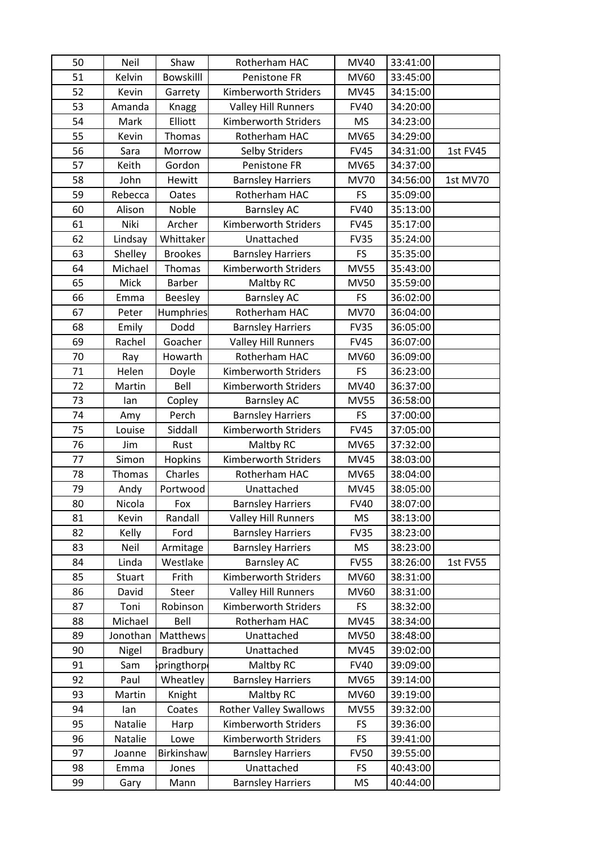| 50 | Neil          | Shaw             | Rotherham HAC                 | <b>MV40</b> | 33:41:00 |                 |
|----|---------------|------------------|-------------------------------|-------------|----------|-----------------|
| 51 | Kelvin        | <b>Bowskilll</b> | Penistone FR                  | <b>MV60</b> | 33:45:00 |                 |
| 52 | Kevin         | Garrety          | Kimberworth Striders          | <b>MV45</b> | 34:15:00 |                 |
| 53 | Amanda        | Knagg            | <b>Valley Hill Runners</b>    | <b>FV40</b> | 34:20:00 |                 |
| 54 | Mark          | Elliott          | Kimberworth Striders          | <b>MS</b>   | 34:23:00 |                 |
| 55 | Kevin         | Thomas           | Rotherham HAC                 | <b>MV65</b> | 34:29:00 |                 |
| 56 | Sara          | Morrow           | <b>Selby Striders</b>         | <b>FV45</b> | 34:31:00 | 1st FV45        |
| 57 | Keith         | Gordon           | Penistone FR                  | <b>MV65</b> | 34:37:00 |                 |
| 58 | John          | <b>Hewitt</b>    | <b>Barnsley Harriers</b>      | <b>MV70</b> | 34:56:00 | 1st MV70        |
| 59 | Rebecca       | Oates            | Rotherham HAC                 | FS          | 35:09:00 |                 |
| 60 | Alison        | Noble            | <b>Barnsley AC</b>            | <b>FV40</b> | 35:13:00 |                 |
| 61 | Niki          | Archer           | Kimberworth Striders          | <b>FV45</b> | 35:17:00 |                 |
| 62 | Lindsay       | Whittaker        | Unattached                    | <b>FV35</b> | 35:24:00 |                 |
| 63 | Shelley       | <b>Brookes</b>   | <b>Barnsley Harriers</b>      | FS          | 35:35:00 |                 |
| 64 | Michael       | Thomas           | Kimberworth Striders          | <b>MV55</b> | 35:43:00 |                 |
| 65 | Mick          | Barber           | Maltby RC                     | <b>MV50</b> | 35:59:00 |                 |
| 66 | Emma          | <b>Beesley</b>   | <b>Barnsley AC</b>            | FS          | 36:02:00 |                 |
| 67 | Peter         | Humphries        | Rotherham HAC                 | <b>MV70</b> | 36:04:00 |                 |
| 68 | Emily         | Dodd             | <b>Barnsley Harriers</b>      | <b>FV35</b> | 36:05:00 |                 |
| 69 | Rachel        | Goacher          | <b>Valley Hill Runners</b>    | <b>FV45</b> | 36:07:00 |                 |
| 70 | Ray           | Howarth          | Rotherham HAC                 | <b>MV60</b> | 36:09:00 |                 |
| 71 | Helen         | Doyle            | Kimberworth Striders          | FS          | 36:23:00 |                 |
| 72 | Martin        | Bell             | Kimberworth Striders          | MV40        | 36:37:00 |                 |
| 73 | lan           | Copley           | <b>Barnsley AC</b>            | <b>MV55</b> | 36:58:00 |                 |
| 74 | Amy           | Perch            | <b>Barnsley Harriers</b>      | <b>FS</b>   | 37:00:00 |                 |
| 75 | Louise        | Siddall          | <b>Kimberworth Striders</b>   | <b>FV45</b> | 37:05:00 |                 |
| 76 | Jim           | Rust             | Maltby RC                     | MV65        | 37:32:00 |                 |
| 77 | Simon         | Hopkins          | <b>Kimberworth Striders</b>   | <b>MV45</b> | 38:03:00 |                 |
| 78 | <b>Thomas</b> | Charles          | Rotherham HAC                 | MV65        | 38:04:00 |                 |
| 79 | Andy          | Portwood         | Unattached                    | <b>MV45</b> | 38:05:00 |                 |
| 80 | Nicola        | Fox              | <b>Barnsley Harriers</b>      | <b>FV40</b> | 38:07:00 |                 |
| 81 | Kevin         | Randall          | <b>Valley Hill Runners</b>    | <b>MS</b>   | 38:13:00 |                 |
| 82 | Kelly         | Ford             | <b>Barnsley Harriers</b>      | <b>FV35</b> | 38:23:00 |                 |
| 83 | Neil          | Armitage         | <b>Barnsley Harriers</b>      | MS          | 38:23:00 |                 |
| 84 | Linda         | Westlake         | <b>Barnsley AC</b>            | <b>FV55</b> | 38:26:00 | <b>1st FV55</b> |
| 85 | Stuart        | Frith            | <b>Kimberworth Striders</b>   | MV60        | 38:31:00 |                 |
| 86 | David         | Steer            | <b>Valley Hill Runners</b>    | MV60        | 38:31:00 |                 |
| 87 | Toni          | Robinson         | Kimberworth Striders          | FS          | 38:32:00 |                 |
| 88 | Michael       | Bell             | Rotherham HAC                 | <b>MV45</b> | 38:34:00 |                 |
| 89 | Jonothan      | Matthews         | Unattached                    | <b>MV50</b> | 38:48:00 |                 |
| 90 | Nigel         | <b>Bradbury</b>  | Unattached                    | MV45        | 39:02:00 |                 |
| 91 | Sam           | ipringthorp      | Maltby RC                     | <b>FV40</b> | 39:09:00 |                 |
| 92 | Paul          | Wheatley         | <b>Barnsley Harriers</b>      | MV65        | 39:14:00 |                 |
| 93 | Martin        | Knight           | Maltby RC                     | MV60        | 39:19:00 |                 |
| 94 | lan           | Coates           | <b>Rother Valley Swallows</b> | <b>MV55</b> | 39:32:00 |                 |
| 95 | Natalie       | Harp             | Kimberworth Striders          | FS          | 39:36:00 |                 |
| 96 | Natalie       | Lowe             | Kimberworth Striders          | FS          | 39:41:00 |                 |
| 97 | Joanne        | Birkinshaw       | <b>Barnsley Harriers</b>      | <b>FV50</b> | 39:55:00 |                 |
| 98 | Emma          | Jones            | Unattached                    | <b>FS</b>   | 40:43:00 |                 |
| 99 | Gary          | Mann             | <b>Barnsley Harriers</b>      | MS          | 40:44:00 |                 |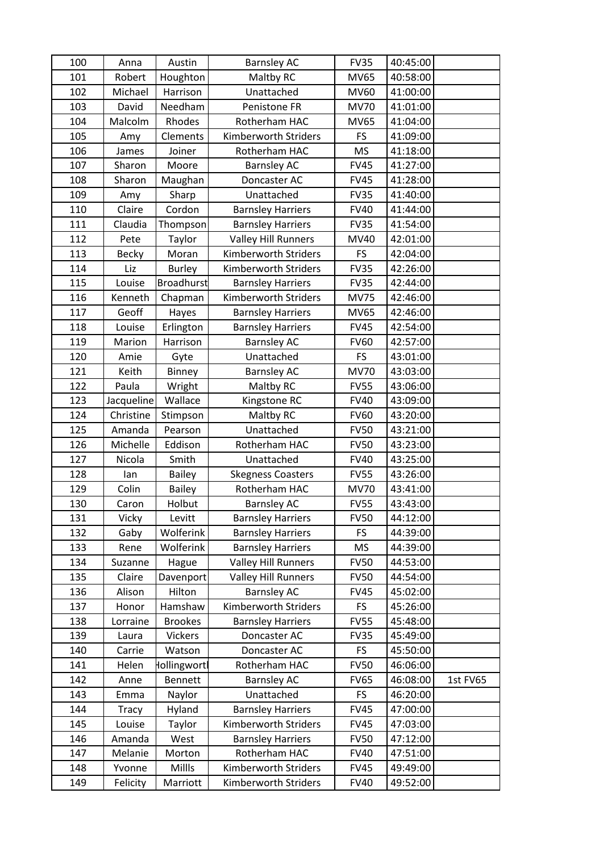| 100 | Anna         | Austin            | <b>Barnsley AC</b>         | <b>FV35</b> | 40:45:00 |          |
|-----|--------------|-------------------|----------------------------|-------------|----------|----------|
| 101 | Robert       | Houghton          | Maltby RC                  | <b>MV65</b> | 40:58:00 |          |
| 102 | Michael      | Harrison          | Unattached                 | <b>MV60</b> | 41:00:00 |          |
| 103 | David        | Needham           | Penistone FR               | <b>MV70</b> | 41:01:00 |          |
| 104 | Malcolm      | Rhodes            | Rotherham HAC              | <b>MV65</b> | 41:04:00 |          |
| 105 | Amy          | Clements          | Kimberworth Striders       | FS          | 41:09:00 |          |
| 106 | James        | Joiner            | Rotherham HAC              | <b>MS</b>   | 41:18:00 |          |
| 107 | Sharon       | Moore             | <b>Barnsley AC</b>         | <b>FV45</b> | 41:27:00 |          |
| 108 | Sharon       | Maughan           | Doncaster AC               | <b>FV45</b> | 41:28:00 |          |
| 109 | Amy          | Sharp             | Unattached                 | <b>FV35</b> | 41:40:00 |          |
| 110 | Claire       | Cordon            | <b>Barnsley Harriers</b>   | <b>FV40</b> | 41:44:00 |          |
| 111 | Claudia      | Thompson          | <b>Barnsley Harriers</b>   | <b>FV35</b> | 41:54:00 |          |
| 112 | Pete         | Taylor            | <b>Valley Hill Runners</b> | MV40        | 42:01:00 |          |
| 113 | Becky        | Moran             | Kimberworth Striders       | <b>FS</b>   | 42:04:00 |          |
| 114 | Liz          | <b>Burley</b>     | Kimberworth Striders       | <b>FV35</b> | 42:26:00 |          |
| 115 | Louise       | <b>Broadhurst</b> | <b>Barnsley Harriers</b>   | <b>FV35</b> | 42:44:00 |          |
| 116 | Kenneth      | Chapman           | Kimberworth Striders       | <b>MV75</b> | 42:46:00 |          |
| 117 | Geoff        | Hayes             | <b>Barnsley Harriers</b>   | MV65        | 42:46:00 |          |
| 118 | Louise       | Erlington         | <b>Barnsley Harriers</b>   | <b>FV45</b> | 42:54:00 |          |
| 119 | Marion       | Harrison          | <b>Barnsley AC</b>         | <b>FV60</b> | 42:57:00 |          |
| 120 | Amie         | Gyte              | Unattached                 | <b>FS</b>   | 43:01:00 |          |
| 121 | Keith        | Binney            | <b>Barnsley AC</b>         | <b>MV70</b> | 43:03:00 |          |
| 122 | Paula        | Wright            | Maltby RC                  | <b>FV55</b> | 43:06:00 |          |
| 123 | Jacqueline   | Wallace           | Kingstone RC               | <b>FV40</b> | 43:09:00 |          |
| 124 | Christine    | Stimpson          | Maltby RC                  | <b>FV60</b> | 43:20:00 |          |
| 125 | Amanda       | Pearson           | Unattached                 | <b>FV50</b> | 43:21:00 |          |
| 126 | Michelle     | Eddison           | Rotherham HAC              | <b>FV50</b> | 43:23:00 |          |
| 127 | Nicola       | Smith             | Unattached                 | <b>FV40</b> | 43:25:00 |          |
| 128 | lan          | <b>Bailey</b>     | <b>Skegness Coasters</b>   | <b>FV55</b> | 43:26:00 |          |
| 129 | Colin        | <b>Bailey</b>     | Rotherham HAC              | <b>MV70</b> | 43:41:00 |          |
| 130 | Caron        | Holbut            | <b>Barnsley AC</b>         | <b>FV55</b> | 43:43:00 |          |
| 131 | Vicky        | Levitt            | <b>Barnsley Harriers</b>   | <b>FV50</b> | 44:12:00 |          |
| 132 | Gaby         | <b>Wolferink</b>  | <b>Barnsley Harriers</b>   | <b>FS</b>   | 44:39:00 |          |
| 133 | Rene         | Wolferink         | <b>Barnsley Harriers</b>   | MS          | 44:39:00 |          |
| 134 | Suzanne      | Hague             | <b>Valley Hill Runners</b> | <b>FV50</b> | 44:53:00 |          |
| 135 | Claire       | Davenport         | <b>Valley Hill Runners</b> | <b>FV50</b> | 44:54:00 |          |
| 136 | Alison       | Hilton            | <b>Barnsley AC</b>         | <b>FV45</b> | 45:02:00 |          |
| 137 | Honor        | Hamshaw           | Kimberworth Striders       | <b>FS</b>   | 45:26:00 |          |
| 138 | Lorraine     | <b>Brookes</b>    | <b>Barnsley Harriers</b>   | <b>FV55</b> | 45:48:00 |          |
| 139 | Laura        | Vickers           | Doncaster AC               | <b>FV35</b> | 45:49:00 |          |
| 140 | Carrie       | Watson            | Doncaster AC               | FS          | 45:50:00 |          |
| 141 | Helen        | Hollingwortl      | Rotherham HAC              | <b>FV50</b> | 46:06:00 |          |
| 142 | Anne         | <b>Bennett</b>    | <b>Barnsley AC</b>         | <b>FV65</b> | 46:08:00 | 1st FV65 |
| 143 | Emma         | Naylor            | Unattached                 | FS.         | 46:20:00 |          |
| 144 | <b>Tracy</b> | Hyland            | <b>Barnsley Harriers</b>   | <b>FV45</b> | 47:00:00 |          |
| 145 | Louise       | Taylor            | Kimberworth Striders       | <b>FV45</b> | 47:03:00 |          |
| 146 | Amanda       | West              | <b>Barnsley Harriers</b>   | <b>FV50</b> | 47:12:00 |          |
| 147 | Melanie      | Morton            | Rotherham HAC              | <b>FV40</b> | 47:51:00 |          |
| 148 | Yvonne       | Millls            | Kimberworth Striders       | <b>FV45</b> | 49:49:00 |          |
| 149 | Felicity     | Marriott          | Kimberworth Striders       | <b>FV40</b> | 49:52:00 |          |
|     |              |                   |                            |             |          |          |